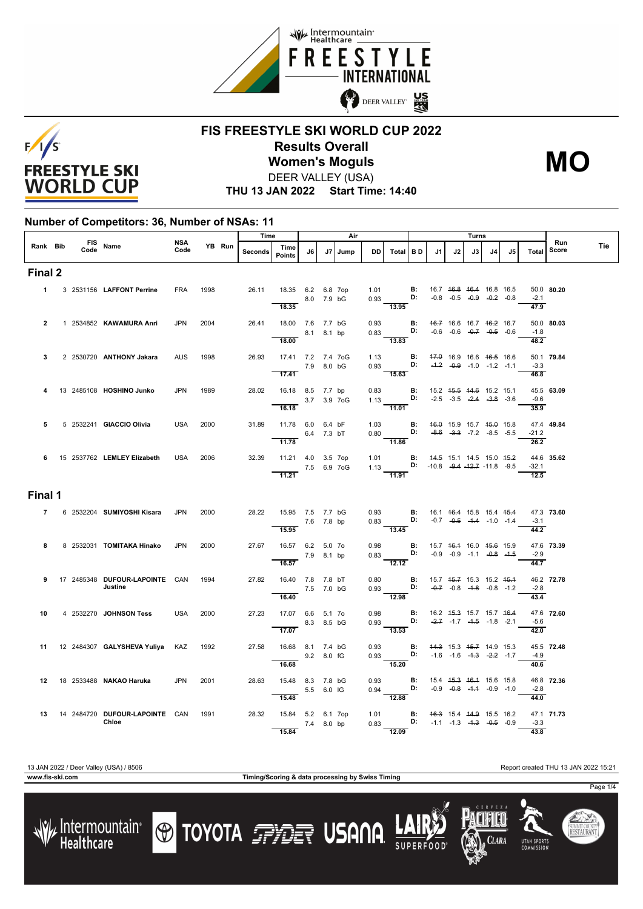



### **FIS FREESTYLE SKI WORLD CUP 2022 Results Overall** DEER VALLEY (USA) **Women's Moguls MO**

**THU 13 JAN 2022 Start Time: 14:40**

#### **Number of Competitors: 36, Number of NSAs: 11**

|                |  | FIS Name                                             |             |        |         | Time                                                       |            | Air |         |      |                                                                                                                                                           |  | Turns |      |                                                                |    |                                    |                                    |                      |  |
|----------------|--|------------------------------------------------------|-------------|--------|---------|------------------------------------------------------------|------------|-----|---------|------|-----------------------------------------------------------------------------------------------------------------------------------------------------------|--|-------|------|----------------------------------------------------------------|----|------------------------------------|------------------------------------|----------------------|--|
| Rank Bib       |  |                                                      | NSA<br>Code | YB Run | Seconds | Time<br><b>Points</b>                                      | J6         |     | J7 Jump | DD   | Total BD                                                                                                                                                  |  | J1    | J2 l | J3                                                             | J4 | J5                                 | Run<br>Score<br>Total              | Tie                  |  |
| Final 2        |  |                                                      |             |        |         |                                                            |            |     |         |      |                                                                                                                                                           |  |       |      |                                                                |    |                                    |                                    |                      |  |
|                |  | 1 3 2531156 LAFFONT Perrine                          | <b>FRA</b>  | 1998   | 26.11   | 18.35 6.2 6.8 7op<br>8.0 7.9 bG<br>18.35                   |            |     |         |      | 1.01 <b>B</b> : 16.7 <del>16.8</del> <del>16.4</del> 16.8 16.5<br>0.93 <b>D:</b> -0.8 -0.5 -0.9 -0. <del>2</del> -0.8<br>13.95                            |  |       |      |                                                                |    |                                    | $-2.1$<br>$\frac{47.9}{ }$         | 50.0 80.20           |  |
| $\overline{2}$ |  | 1 2534852 KAWAMURA Anri                              | <b>JPN</b>  | 2004   | 26.41   | 18.00 7.6 7.7 bG<br>8.1 8.1 bp                             |            |     |         |      | 0.93 <b>B:</b> $46.7$ 16.6 16.7 $46.2$ 16.7<br>0.83 <b>D:</b> -0.6 -0.6 -0. <del>7</del> -0.5 -0.6                                                        |  |       |      |                                                                |    |                                    | $-1.8$                             | 50.0 80.03           |  |
| 3              |  | 2 2530720 ANTHONY Jakara                             | <b>AUS</b>  | 1998   | 26.93   | 18.00<br>17.41 7.2 7.4 7oG                                 |            |     |         |      | $\overline{13.83}$<br>1.13 <b>B:</b> 47.0 16.9 16.6 46.5 16.6<br>0.93 <b>D:</b> -4.2 -0.9 -1.0 -1.2 -1.1                                                  |  |       |      |                                                                |    |                                    | $\overline{48.2}$<br>$-3.3$        | 50.1 79.84           |  |
| 4              |  | 13 2485108 HOSHINO Junko                             | <b>JPN</b>  | 1989   |         | 7.9 8.0 bG<br>$\overline{17.41}$<br>28.02 16.18 8.5 7.7 bp |            |     |         |      | 15.63<br>0.83 <b>B:</b> 15.2 4 <del>5.5</del> 44.6 15.2 15.1<br>1.13 <b>D:</b> -2.5 -3.5 - <del>2.4 -3.8</del> -3.6                                       |  |       |      |                                                                |    |                                    | 46.8                               | 45.5 63.09           |  |
|                |  |                                                      |             |        |         | $-$ 3.7 3.9 7 oG<br>16.18                                  |            |     |         |      | 11.01                                                                                                                                                     |  |       |      |                                                                |    |                                    | $-9.6$<br>35.9                     |                      |  |
| 5              |  | 5 2532241 GIACCIO Olivia                             | <b>USA</b>  | 2000   | 31.89   | 11.78 6.0 6.4 bF<br>11.78                                  | 6.4 7.3 bT |     |         |      | 1.03 <b>B:</b> 46.0 15.9 15.7 45.0 15.8<br>0.80 <b>D:</b> -8.6 -3.3 -7.2 -8.5 -5.5<br>11.86                                                               |  |       |      |                                                                |    | $-8.6$ $-3.3$ $-7.2$ $-8.5$ $-5.5$ | $-21.2$<br>$\overline{26.2}$       | 47.4 49.84           |  |
|                |  | 6 15 2537762 LEMLEY Elizabeth                        | USA         | 2006   |         | 32.39 11.21 4.0 3.5 7op<br>7.5 6.9 7oG<br>11.21            |            |     |         |      | 1.01 <b>B:</b> $44.5$ 15.1 14.5 15.0 $45.2$<br>1.13 <b>D:</b> $-10.8$ $-9.4$ $-12.7$ $-11.8$ $-9.5$<br>$-11.91$                                           |  |       |      |                                                                |    |                                    | $-32.1$<br>$\overline{12.5}$       | 44.6 35.62           |  |
| Final 1        |  |                                                      |             |        |         |                                                            |            |     |         |      |                                                                                                                                                           |  |       |      |                                                                |    |                                    |                                    |                      |  |
|                |  | 7 6 2532204 SUMIYOSHI Kisara                         | <b>JPN</b>  | 2000   |         | 28.22 15.95 7.5 7.7 bG<br>$7.6$ 7.8 bp<br>15.95            |            |     |         |      | 0.93 <b>B</b> : 16.1 46.4 15.8 15.4 45.4 0.83 <b>D:</b> -0.7 -0.5 -1.4 -1.0 -1.4<br>$\overline{13.45}$                                                    |  |       |      |                                                                |    |                                    | $-3.1$<br>44.2                     | 47.3 73.60           |  |
| 8              |  | 8 2532031 TOMITAKA Hinako                            | <b>JPN</b>  | 2000   | 27.67   | 16.57 6.2 5.0 7o<br>16.57                                  | 7.9 8.1 bp |     |         |      | 0.98 <b>B:</b> 15.7 <del>16.1</del> 16.0 <del>15.6</del> 15.9<br>0.83 <b>D:</b> -0.9 -0.9 -1.1 - <del>0.8</del> - <del>1.5</del><br>$\frac{12.12}{12.12}$ |  |       |      |                                                                |    |                                    | $-2.9$<br>$\frac{1}{44.7}$         | 47.6 73.39           |  |
| 9              |  | 17 2485348 DUFOUR-LAPOINTE CAN<br>Justine            |             | 1994   | 27.82   | 16.40 7.8 7.8 bT<br>7.5 7.0 bG<br>16.40                    |            |     |         |      | 0.80 <b>B:</b> 15.7 45.7 15.3 15.2 45.4<br>0.93 <b>D:</b> $-0.7$ $-0.8$ $-1.8$ $-0.8$ $-1.2$<br>$\frac{0.00}{12.98}$                                      |  |       |      |                                                                |    |                                    | 43.4                               | 46.2 72.78<br>$-2.8$ |  |
| 10             |  | 4 2532270 JOHNSON Tess                               | <b>USA</b>  | 2000   | 27.23   | 17.07 6.6 5.1 7o<br>17.07                                  | 8.3 8.5 bG |     |         |      | 0.98 <b>B:</b><br>0.93 <b>D:</b><br>$\overline{13.53}$                                                                                                    |  |       |      | 16.2 45.3 15.7 15.7 46.4<br>$-2.7$ $-1.7$ $-4.5$ $-1.8$ $-2.1$ |    |                                    | $-5.6$<br>$\overline{42.0}$        | 47.6 72.60           |  |
|                |  | 11 12 2484307 GALYSHEVA Yuliya KAZ                   |             | 1992   | 27.58   | 16.68 8.1 7.4 bG<br>9.2 8.0 fG                             |            |     |         | 0.93 | $0.93$ $D:$ $-1.6$ $-1.6$ $-4.3$ $-2.2$ $-1.7$<br>15.20                                                                                                   |  |       |      | <b>B:</b> 44.3 15.3 45.7 14.9 15.3                             |    |                                    | $-4.9$                             | 45.5 72.48           |  |
|                |  | 12 18 2533488 NAKAO Haruka                           | <b>JPN</b>  | 2001   | 28.63   | 16.68<br>15.48 8.3 7.8 bG                                  | 5.5 6.0 IG |     |         |      | 0.93 B:<br>0.94 D:<br>12.88                                                                                                                               |  |       |      | 15.4 45.3 46.4 15.6 15.8<br>$-0.9$ $-0.8$ $-4.4$ $-0.9$ $-1.0$ |    |                                    | 40.6<br>$-2.8$                     | 46.8 72.36           |  |
|                |  | 13  14  2484720  DUFOUR LAPOINTE  CAN  1991<br>Chloe |             |        | 28.32   | 15.48<br>15.84 5.2 6.1 7op<br>7.4 8.0 bp<br>15.84          |            |     |         |      | 1.01 <b>B</b> : 4 <del>6.3</del> 15.4 44.9 15.5 16.2<br>0.83 <b>D:</b> -1.1 -1.3 - <del>1.3</del> -0.5 -0.9<br>12.09                                      |  |       |      |                                                                |    |                                    | $\frac{44.0}{ }$<br>$-3.3$<br>43.8 | 47.1 71.73           |  |

**www.fis-ski.com Timing/Scoring & data processing by Swiss Timing**

**O TOYOTA FRIET USANA** 

13 JAN 2022 / Deer Valley (USA) / 8506 Report created THU 13 JAN 2022 15:21

Clara

**UTAH SPORT** 

Page 1/4

SUMMIT COUNT<br>**RESTAURAN**T



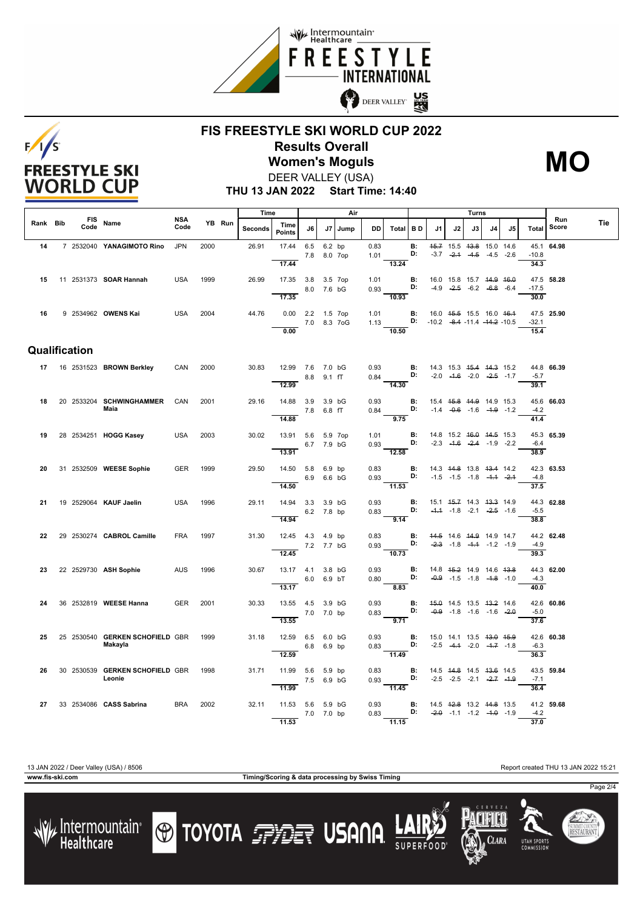



#### **FIS FREESTYLE SKI WORLD CUP 2022 Results Overall** DEER VALLEY (USA) **Women's Moguls MO**

**THU 13 JAN 2022 Start Time: 14:40**

|          |                    |                                            |             |      |        | Time    |                                |                    | Air        |         | Turns        |                                                                                                                                  |                 |                                               |                                                                |    | Run         |    |                 |            |     |
|----------|--------------------|--------------------------------------------|-------------|------|--------|---------|--------------------------------|--------------------|------------|---------|--------------|----------------------------------------------------------------------------------------------------------------------------------|-----------------|-----------------------------------------------|----------------------------------------------------------------|----|-------------|----|-----------------|------------|-----|
| Rank Bib | <b>FIS</b><br>Code | Name                                       | NSA<br>Code |      | YB Run | Seconds | Time<br><b>Points</b>          | J6                 |            | J7 Jump | DD           | Total BD                                                                                                                         |                 | J1                                            | J2                                                             | J3 | J4          | J5 | Total           | Score      | Tie |
| 14       |                    | 7 2532040 YANAGIMOTO Rino                  | <b>JPN</b>  | 2000 |        | 26.91   | 17.44                          | 6.5<br>7.8 8.0 7op | 6.2 bp     |         | 0.83<br>1.01 |                                                                                                                                  | <b>B:</b><br>D: |                                               | 45.7 15.5 43.8 15.0 14.6<br>$-3.7$ $-2.4$ $-4.5$               |    | $-4.5 -2.6$ |    | $-10.8$         | 45.1 64.98 |     |
| 15       |                    | 11 2531373 <b>SOAR Hannah</b>              | <b>USA</b>  | 1999 |        | 26.99   | 17.44<br>17.35 3.8 3.5 7op     |                    |            |         | 1.01         | 13.24                                                                                                                            | В:<br>D:        | 16.0 15.8 15.7 44.9 46.0                      | $-4.9$ $-2.5$ $-6.2$ $-6.8$ $-6.4$                             |    |             |    | 34.3<br>$-17.5$ | 47.5 58.28 |     |
|          |                    |                                            |             |      |        |         | 17.35                          | 8.0 7.6 bG         |            |         | 0.93         | 10.93                                                                                                                            |                 |                                               |                                                                |    |             |    | 30.0            |            |     |
| 16       |                    | 9 2534962 OWENS Kai                        | USA         | 2004 |        | 44.76   | 0.00 2.2 1.5 7op               | 7.0 8.3 7oG        |            |         |              | 1.01 <b>B:</b> 16.0 45.5 15.5 16.0 46.4<br>1.13 <b>D:</b> $-10.2$ $-8.4$ $-11.4$ $-14.2$ $-10.5$                                 |                 |                                               |                                                                |    |             |    | $-32.1$         | 47.5 25.90 |     |
|          |                    |                                            |             |      |        |         | 0.00                           |                    |            |         |              | 10.50                                                                                                                            |                 |                                               |                                                                |    |             |    | 15.4            |            |     |
|          | Qualification      |                                            |             |      |        |         |                                |                    |            |         |              |                                                                                                                                  |                 |                                               |                                                                |    |             |    |                 |            |     |
|          |                    | 17 16 2531523 BROWN Berkley                | CAN         | 2000 |        | 30.83   | 12.99 7.6 7.0 bG               |                    |            |         |              |                                                                                                                                  |                 |                                               |                                                                |    |             |    |                 | 44.8 66.39 |     |
|          |                    |                                            |             |      |        |         | 12.99                          | 8.8 9.1 fT         |            |         |              | 0.93 <b>B</b> : 14.3 15.3 <del>15.4 14.3</del> 15.2<br>0.84 <b>D:</b> -2.0 -4.6 -2.0 - <del>2.5</del> -1.7<br>$\overline{14.30}$ |                 |                                               |                                                                |    |             |    | $-5.7$<br>39.1  |            |     |
| 18       |                    | 20 2533204 SCHWINGHAMMER                   | CAN         | 2001 |        | 29.16   | 14.88 3.9 3.9 bG               |                    |            |         | 0.93         |                                                                                                                                  |                 | <b>B:</b> 15.4 <del>15.8 14.9</del> 14.9 15.3 |                                                                |    |             |    |                 | 45.6 66.03 |     |
|          |                    | Maia                                       |             |      |        |         | 14.88                          | 7.8 6.8 fT         |            |         | 0.84         | <b>D:</b> $-1.4$ $-0.6$ $-1.6$ $-1.9$ $-1.2$<br>9.75                                                                             |                 |                                               |                                                                |    |             |    | $-4.2$<br>41.4  |            |     |
| 19       |                    | 28 2534251 HOGG Kasey                      | <b>USA</b>  | 2003 |        | 30.02   | 13.91 5.6 5.9 7op              |                    |            |         | 1.01         | D:                                                                                                                               |                 | <b>B:</b> 14.8 15.2 <del>16.0</del> 14.5 15.3 |                                                                |    |             |    |                 | 45.3 65.39 |     |
|          |                    |                                            |             |      |        |         | 13.91                          | 6.7 7.9 bG         |            |         | 0.93         | $\overline{12.58}$                                                                                                               |                 |                                               | $-2.3$ $-4.6$ $-2.4$ $-1.9$ $-2.2$                             |    |             |    | $-6.4$<br>38.9  |            |     |
| 20       |                    | 31 2532509 WEESE Sophie                    | <b>GER</b>  | 1999 |        | 29.50   | 14.50 5.8 6.9 bp               |                    |            |         | 0.83         |                                                                                                                                  |                 | <b>B:</b> 14.3 44.8 13.8 43.4 14.2            |                                                                |    |             |    |                 | 42.3 63.53 |     |
|          |                    |                                            |             |      |        |         | 6.9 6.6 bG                     |                    |            |         |              | 0.93 <b>D:</b> $-1.5$ $-1.5$ $-1.8$ $-1.4$ $-2.4$                                                                                |                 |                                               |                                                                |    |             |    | $-4.8$          |            |     |
|          |                    |                                            |             |      |        |         | 14.50                          |                    |            |         |              | 11.53                                                                                                                            |                 |                                               |                                                                |    |             |    | 37.5            |            |     |
| 21       |                    | 19 2529064 KAUF Jaelin                     | <b>USA</b>  | 1996 |        | 29.11   | 14.94 3.3 3.9 bG               |                    |            |         | 0.93         | D:                                                                                                                               | <b>B:</b>       |                                               | 15.1 45.7 14.3 43.3 14.9<br>$-4.4$ $-1.8$ $-2.1$ $-2.5$ $-1.6$ |    |             |    | $-5.5$          | 44.3 62.88 |     |
|          |                    |                                            |             |      |        |         | 14.94                          | 6.2 7.8 bp         |            |         | 0.83         | 9.14                                                                                                                             |                 |                                               |                                                                |    |             |    | 38.8            |            |     |
| 22       |                    | 29 2530274 CABROL Camille                  | <b>FRA</b>  | 1997 |        | 31.30   | 12.45 4.3 4.9 bp               |                    |            |         | 0.83         |                                                                                                                                  | <b>B:</b>       | 44.5 14.6 44.9 14.9 14.7                      |                                                                |    |             |    |                 | 44.2 62.48 |     |
|          |                    |                                            |             |      |        |         | 7.2 7.7 bG                     |                    |            |         | 0.93         |                                                                                                                                  |                 | D: $-2.3$ $-1.8$ $-4.4$ $-1.2$ $-1.9$         |                                                                |    |             |    | $-4.9$          |            |     |
|          |                    |                                            |             |      |        |         | 12.45                          |                    |            |         |              | 10.73                                                                                                                            |                 |                                               |                                                                |    |             |    | 39.3            |            |     |
| 23       |                    | 22 2529730 ASH Sophie                      | <b>AUS</b>  | 1996 |        | 30.67   | 13.17 4.1 3.8 bG               |                    |            |         | 0.93         |                                                                                                                                  | D:              | <b>B:</b> 14.8 45.2 14.9 14.6 43.8            | $-0.9$ $-1.5$ $-1.8$ $-1.8$ $-1.0$                             |    |             |    | $-4.3$          | 44.3 62.00 |     |
|          |                    |                                            |             |      |        |         | $\overline{13.17}$             | 6.0 6.9 bT         |            |         | 0.80         | 8.83                                                                                                                             |                 |                                               |                                                                |    |             |    | 40.0            |            |     |
| 24       |                    | 36 2532819 WEESE Hanna                     | GER         | 2001 |        | 30.33   | 13.55 4.5 3.9 bG               |                    |            |         | 0.93         |                                                                                                                                  | <b>B:</b>       |                                               | 45.0 14.5 13.5 43.2 14.6                                       |    |             |    |                 | 42.6 60.86 |     |
|          |                    |                                            |             |      |        |         |                                | 7.0 7.0 bp         |            |         | 0.83         | 9.71                                                                                                                             | D:              |                                               | $-0.9$ $-1.8$ $-1.6$ $-1.6$ $-2.0$                             |    |             |    | $-5.0$          |            |     |
|          |                    |                                            |             |      |        |         | 13.55                          |                    |            |         |              |                                                                                                                                  |                 |                                               |                                                                |    |             |    | 37.6            |            |     |
| 25       |                    | 25 2530540 GERKEN SCHOFIELD GBR<br>Makayla |             | 1999 |        | 31.18   | 12.59 6.5 6.0 bG               |                    | 6.8 6.9 bp |         | 0.93<br>0.83 | D:                                                                                                                               |                 | <b>B:</b> 15.0 14.1 13.5 43.0 45.9            | $-2.5$ $-4.4$ $-2.0$ $-4.7$ $-1.8$                             |    |             |    | $-6.3$          | 42.6 60.38 |     |
|          |                    |                                            |             |      |        |         | 12.59                          |                    |            |         |              | $\frac{1}{11.49}$                                                                                                                |                 |                                               |                                                                |    |             |    | 36.3            |            |     |
| 26       |                    | 30 2530539 GERKEN SCHOFIELD GBR            |             | 1998 |        | 31.71   | 11.99 5.6 5.9 bp               |                    |            |         | 0.83         |                                                                                                                                  |                 | <b>B:</b> 14.5 44.8 14.5 43.6 14.5            |                                                                |    |             |    |                 | 43.5 59.84 |     |
|          |                    | Leonie                                     |             |      |        |         | 11.99                          | 7.5 6.9 bG         |            |         | 0.93         | D:<br>$-11.45$                                                                                                                   |                 |                                               | $-2.5$ $-2.5$ $-2.1$ $-2.7$ $-1.9$                             |    |             |    | $-7.1$<br>36.4  |            |     |
|          |                    |                                            |             |      |        |         |                                |                    |            |         |              |                                                                                                                                  |                 |                                               |                                                                |    |             |    |                 |            |     |
| 27       |                    | 33 2534086 CASS Sabrina                    | <b>BRA</b>  | 2002 |        | 32.11   | 11.53 5.6 5.9 bG<br>7.0 7.0 bp |                    |            |         | 0.93         | 0.83 <b>D:</b> $-2.0$ -1.1 -1.2 -1.0 -1.9                                                                                        |                 | <b>B:</b> 14.5 42.8 13.2 44.8 13.5            |                                                                |    |             |    | $-4.2$          | 41.2 59.68 |     |
|          |                    |                                            |             |      |        |         | 11.53                          |                    |            |         |              | $-11.15$                                                                                                                         |                 |                                               |                                                                |    |             |    | 37.0            |            |     |

/ Intermountain<br>Healthcare



**O TOYOTA FRIET USANA** 

13 JAN 2022 / Deer Valley (USA) / 8506 Report created THU 13 JAN 2022 15:21

CLARA

**UTAH SPORT** 

Page 2/4

SUMMIT COUNT<br>**RESTAURAN**T

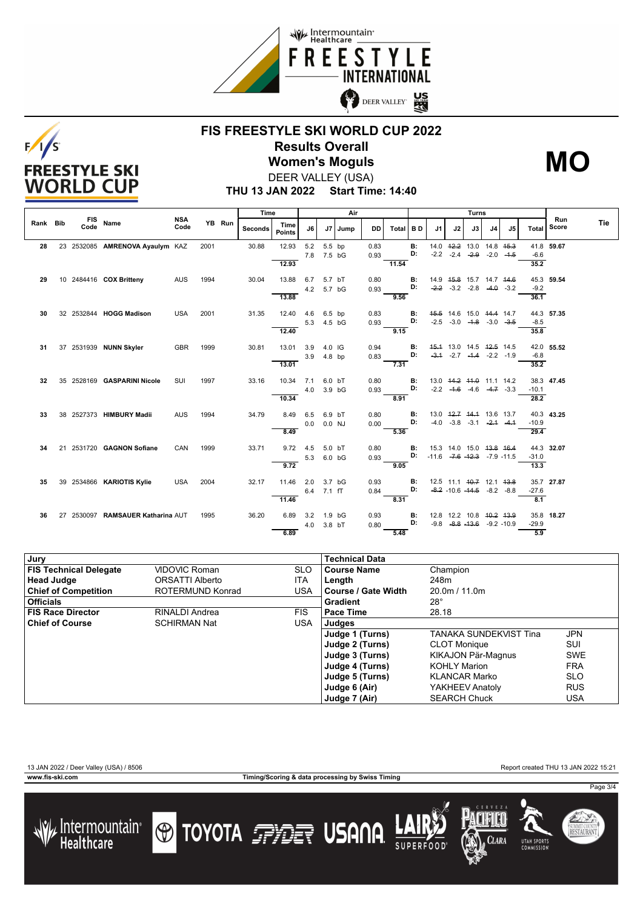



# **FIS FREESTYLE SKI WORLD CUP 2022 Results Overall Women's Moguls MO**



**THU 13 JAN 2022 Start Time: 14:40** DEER VALLEY (USA)

|          |                    |                                   |                    |      |        | Time    |                       | Air        |                      |         |              |          | Turns           |                                       |                                                                          |                             |                |    |                 |              |     |
|----------|--------------------|-----------------------------------|--------------------|------|--------|---------|-----------------------|------------|----------------------|---------|--------------|----------|-----------------|---------------------------------------|--------------------------------------------------------------------------|-----------------------------|----------------|----|-----------------|--------------|-----|
| Rank Bib | <b>FIS</b><br>Code | Name                              | <b>NSA</b><br>Code |      | YB Run | Seconds | Time<br><b>Points</b> | J6         |                      | J7 Jump | DD I         | Total BD |                 | J <sub>1</sub>                        | J2                                                                       | J3                          | J <sub>4</sub> | J5 | Total           | Run<br>Score | Tie |
| 28       |                    | 23 2532085 AMRENOVA Ayaulym KAZ   |                    | 2001 |        | 30.88   | 12.93                 | 5.2        | 5.5 bp<br>7.8 7.5 bG |         | 0.83<br>0.93 |          | <b>B:</b><br>D: |                                       | 14.0 42.2 13.0 14.8 45.3<br>$-2.2$ $-2.4$ $-2.9$                         |                             | $-2.0 - 1.5$   |    | $-6.6$          | 41.8 59.67   |     |
| 29       |                    | 10 2484416 COX Britteny           | AUS                | 1994 |        | 30.04   | 12.93<br>13.88        | 6.7        | 5.7 bT<br>4.2 5.7 bG |         | 0.80<br>0.93 | 11.54    | В:<br>D:        |                                       | 14.9   45.8   15.7   14.7   44.6<br>$-2.2 -3.2 -2.8$                     |                             | $-4.0 -3.2$    |    | 35.2<br>$-9.2$  | 45.3 59.54   |     |
| 30       |                    | 32 2532844 HOGG Madison           | <b>USA</b>         | 2001 |        | 31.35   | 13.88<br>12.40        | 4.6        | 6.5 bp               |         | 0.83         | 9.56     | в:              |                                       | 45.5 14.6 15.0 44.4 14.7                                                 |                             |                |    | 36.1            | 44.3 57.35   |     |
|          |                    |                                   |                    |      |        |         | 12.40                 | 5.3        | 4.5 bG               |         | 0.93         | 9.15     | D:              |                                       | $-2.5$ $-3.0$ $-4.8$ $-3.0$ $-3.5$                                       |                             |                |    | $-8.5$<br>35.8  |              |     |
| 31       |                    | 37 2531939 NUNN Skyler            | GBR                | 1999 |        | 30.81   | 13.01<br>13.01        | 3.9<br>3.9 | 4.0 IG<br>4.8 bp     |         | 0.94<br>0.83 | 7.31     | В:<br>D:        | $-3.1$                                | 45.4 13.0 14.5 42.5 14.5                                                 | $-2.7$ $-4.4$ $-2.2$ $-1.9$ |                |    | $-6.8$<br>35.2  | 42.0 55.52   |     |
| 32       |                    | 35 2528169 GASPARINI Nicole       | SUI                | 1997 |        | 33.16   | 10.34                 | 7.1<br>4.0 | $6.0$ bT<br>3.9 bG   |         | 0.80<br>0.93 |          | В:<br>D:        |                                       | 13.0 44.2 44.0 11.1 14.2<br>$-2.2$ $-4.6$ $-4.6$ $-4.7$ $-3.3$           |                             |                |    | $-10.1$         | 38.3 47.45   |     |
| 33       |                    | 38 2527373 HIMBURY Madii          | <b>AUS</b>         | 1994 |        | 34.79   | 10.34<br>8.49         | 6.5        | 6.9 bT               |         | 0.80         | 8.91     | <b>B:</b>       |                                       | 13.0 42.7 44.4 13.6 13.7                                                 |                             |                |    | 28.2            | 40.3 43.25   |     |
|          |                    |                                   |                    |      |        |         | 8.49                  | 0.0        | 0.0 NJ               |         | 0.00         | 5.36     | D:              |                                       | $-4.0$ $-3.8$ $-3.1$                                                     |                             | $-2.1 - 4.1$   |    | $-10.9$<br>29.4 |              |     |
| 34       |                    | 21 2531720 GAGNON Sofiane         | CAN                | 1999 |        | 33.71   | 9.72<br>9.72          | 4.5<br>5.3 | 5.0 bT<br>6.0 bG     |         | 0.80<br>0.93 | 9.05     | <b>B:</b><br>D: | $-11.6$ $-7.6$ $-12.3$ $-7.9$ $-11.5$ | 15.3 14.0 15.0 43.8 46.4                                                 |                             |                |    | $-31.0$<br>13.3 | 44.3 32.07   |     |
| 35       |                    | 39 2534866 KARIOTIS Kylie         | <b>USA</b>         | 2004 |        | 32.17   | 11.46                 | 2.0        | 3.7 bG<br>6.4 7.1 fT |         | 0.93<br>0.84 |          | В:<br>D:        |                                       | 12.5 11.1 <del>10.7</del> 12.1 <del>13.8</del><br>$-8.2$ $-10.6$ $-14.5$ |                             | $-8.2 - 8.8$   |    | $-27.6$         | 35.7 27.87   |     |
| 36       |                    | 27 2530097 RAMSAUER Katharina AUT |                    | 1995 |        | 36.20   | 11.46<br>6.89         | 3.2        | 1.9 <sub>bG</sub>    |         | 0.93         | 8.31     | <b>B:</b>       |                                       | 12.8 12.2 10.8 <del>10.2 13.9</del>                                      |                             |                |    | 8.1             | 35.8 18.27   |     |
|          |                    |                                   |                    |      |        |         | 6.89                  | 4.0        | 3.8 bT               |         | 0.80         | 5.48     | D:              |                                       | $-9.8$ $-8.8$ $-13.6$ $-9.2$ $-10.9$                                     |                             |                |    | $-29.9$<br>5.9  |              |     |

| Jury                          |                       |            | <b>Technical Data</b> |                        |            |
|-------------------------------|-----------------------|------------|-----------------------|------------------------|------------|
| <b>FIS Technical Delegate</b> | <b>VIDOVIC Roman</b>  | <b>SLO</b> | Course Name           | Champion               |            |
| <b>Head Judge</b>             | ORSATTI Alberto       | ITA        | Length                | 248m                   |            |
| <b>Chief of Competition</b>   | ROTERMUND Konrad      | <b>USA</b> | l Course / Gate Width | 20.0m / 11.0m          |            |
| <b>Officials</b>              |                       |            | Gradient              | $28^\circ$             |            |
| <b>FIS Race Director</b>      | <b>RINALDI Andrea</b> | <b>FIS</b> | <b>Pace Time</b>      | 28.18                  |            |
| <b>Chief of Course</b>        | <b>SCHIRMAN Nat</b>   | USA        | Judges                |                        |            |
|                               |                       |            | Judge 1 (Turns)       | TANAKA SUNDEKVIST Tina | <b>JPN</b> |
|                               |                       |            | Judge 2 (Turns)       | <b>CLOT Monique</b>    | <b>SUI</b> |
|                               |                       |            | Judge 3 (Turns)       | KIKAJON Pär-Magnus     | <b>SWE</b> |
|                               |                       |            | Judge 4 (Turns)       | <b>KOHLY Marion</b>    | <b>FRA</b> |
|                               |                       |            | Judge 5 (Turns)       | <b>KLANCAR Marko</b>   | <b>SLO</b> |
|                               |                       |            | Judge 6 (Air)         | YAKHEEV Anatoly        | <b>RUS</b> |
|                               |                       |            | Judge 7 (Air)         | <b>SEARCH Chuck</b>    | USA        |